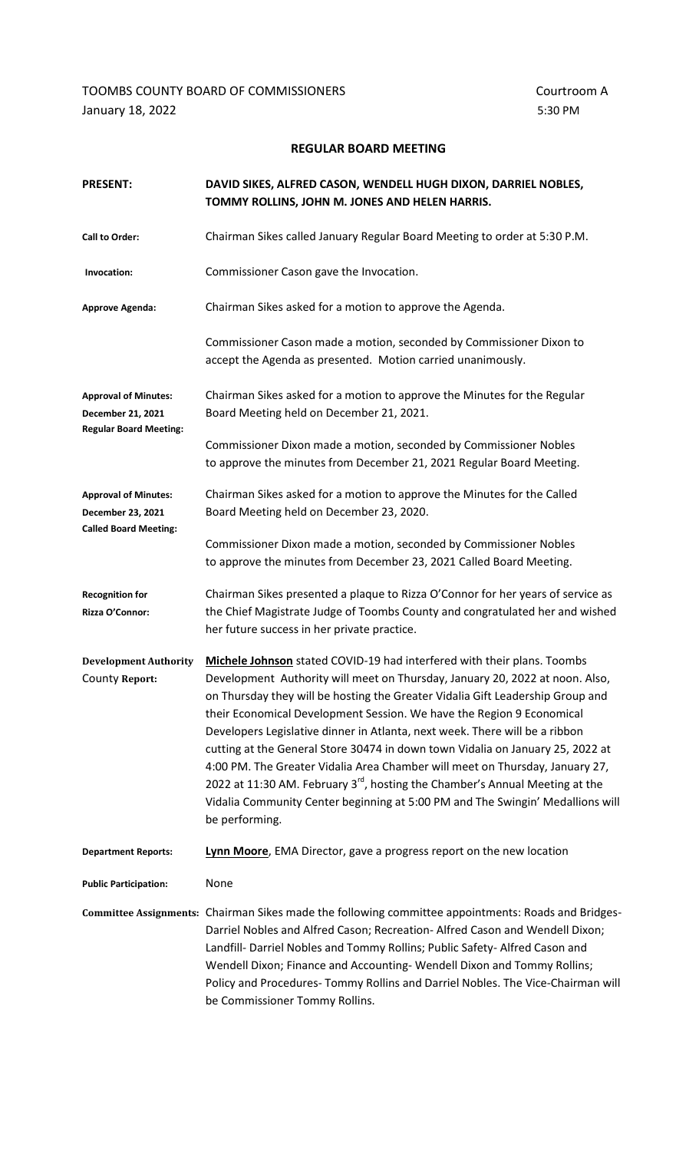TOOMBS COUNTY BOARD OF COMMISSIONERS **COUNTY BOARD** OF COMMISSIONERS January 18, 2022 5:30 PM

## **REGULAR BOARD MEETING**

| <b>PRESENT:</b>                                                                   | DAVID SIKES, ALFRED CASON, WENDELL HUGH DIXON, DARRIEL NOBLES,<br>TOMMY ROLLINS, JOHN M. JONES AND HELEN HARRIS.                                                                                                                                                                                                                                                                                                                                                                                                                                                                                                                                                                                                                                                    |
|-----------------------------------------------------------------------------------|---------------------------------------------------------------------------------------------------------------------------------------------------------------------------------------------------------------------------------------------------------------------------------------------------------------------------------------------------------------------------------------------------------------------------------------------------------------------------------------------------------------------------------------------------------------------------------------------------------------------------------------------------------------------------------------------------------------------------------------------------------------------|
| <b>Call to Order:</b>                                                             | Chairman Sikes called January Regular Board Meeting to order at 5:30 P.M.                                                                                                                                                                                                                                                                                                                                                                                                                                                                                                                                                                                                                                                                                           |
| Invocation:                                                                       | Commissioner Cason gave the Invocation.                                                                                                                                                                                                                                                                                                                                                                                                                                                                                                                                                                                                                                                                                                                             |
| <b>Approve Agenda:</b>                                                            | Chairman Sikes asked for a motion to approve the Agenda.                                                                                                                                                                                                                                                                                                                                                                                                                                                                                                                                                                                                                                                                                                            |
|                                                                                   | Commissioner Cason made a motion, seconded by Commissioner Dixon to<br>accept the Agenda as presented. Motion carried unanimously.                                                                                                                                                                                                                                                                                                                                                                                                                                                                                                                                                                                                                                  |
| <b>Approval of Minutes:</b><br>December 21, 2021<br><b>Regular Board Meeting:</b> | Chairman Sikes asked for a motion to approve the Minutes for the Regular<br>Board Meeting held on December 21, 2021.                                                                                                                                                                                                                                                                                                                                                                                                                                                                                                                                                                                                                                                |
|                                                                                   | Commissioner Dixon made a motion, seconded by Commissioner Nobles<br>to approve the minutes from December 21, 2021 Regular Board Meeting.                                                                                                                                                                                                                                                                                                                                                                                                                                                                                                                                                                                                                           |
| <b>Approval of Minutes:</b><br>December 23, 2021<br><b>Called Board Meeting:</b>  | Chairman Sikes asked for a motion to approve the Minutes for the Called<br>Board Meeting held on December 23, 2020.                                                                                                                                                                                                                                                                                                                                                                                                                                                                                                                                                                                                                                                 |
|                                                                                   | Commissioner Dixon made a motion, seconded by Commissioner Nobles<br>to approve the minutes from December 23, 2021 Called Board Meeting.                                                                                                                                                                                                                                                                                                                                                                                                                                                                                                                                                                                                                            |
| <b>Recognition for</b><br>Rizza O'Connor:                                         | Chairman Sikes presented a plaque to Rizza O'Connor for her years of service as<br>the Chief Magistrate Judge of Toombs County and congratulated her and wished<br>her future success in her private practice.                                                                                                                                                                                                                                                                                                                                                                                                                                                                                                                                                      |
| <b>Development Authority</b><br><b>County Report:</b>                             | Michele Johnson stated COVID-19 had interfered with their plans. Toombs<br>Development Authority will meet on Thursday, January 20, 2022 at noon. Also,<br>on Thursday they will be hosting the Greater Vidalia Gift Leadership Group and<br>their Economical Development Session. We have the Region 9 Economical<br>Developers Legislative dinner in Atlanta, next week. There will be a ribbon<br>cutting at the General Store 30474 in down town Vidalia on January 25, 2022 at<br>4:00 PM. The Greater Vidalia Area Chamber will meet on Thursday, January 27,<br>2022 at 11:30 AM. February 3 <sup>rd</sup> , hosting the Chamber's Annual Meeting at the<br>Vidalia Community Center beginning at 5:00 PM and The Swingin' Medallions will<br>be performing. |
| <b>Department Reports:</b>                                                        | Lynn Moore, EMA Director, gave a progress report on the new location                                                                                                                                                                                                                                                                                                                                                                                                                                                                                                                                                                                                                                                                                                |
| <b>Public Participation:</b>                                                      | None                                                                                                                                                                                                                                                                                                                                                                                                                                                                                                                                                                                                                                                                                                                                                                |
|                                                                                   | Committee Assignments: Chairman Sikes made the following committee appointments: Roads and Bridges-<br>Darriel Nobles and Alfred Cason; Recreation- Alfred Cason and Wendell Dixon;<br>Landfill- Darriel Nobles and Tommy Rollins; Public Safety- Alfred Cason and<br>Wendell Dixon; Finance and Accounting- Wendell Dixon and Tommy Rollins;<br>Policy and Procedures- Tommy Rollins and Darriel Nobles. The Vice-Chairman will<br>be Commissioner Tommy Rollins.                                                                                                                                                                                                                                                                                                  |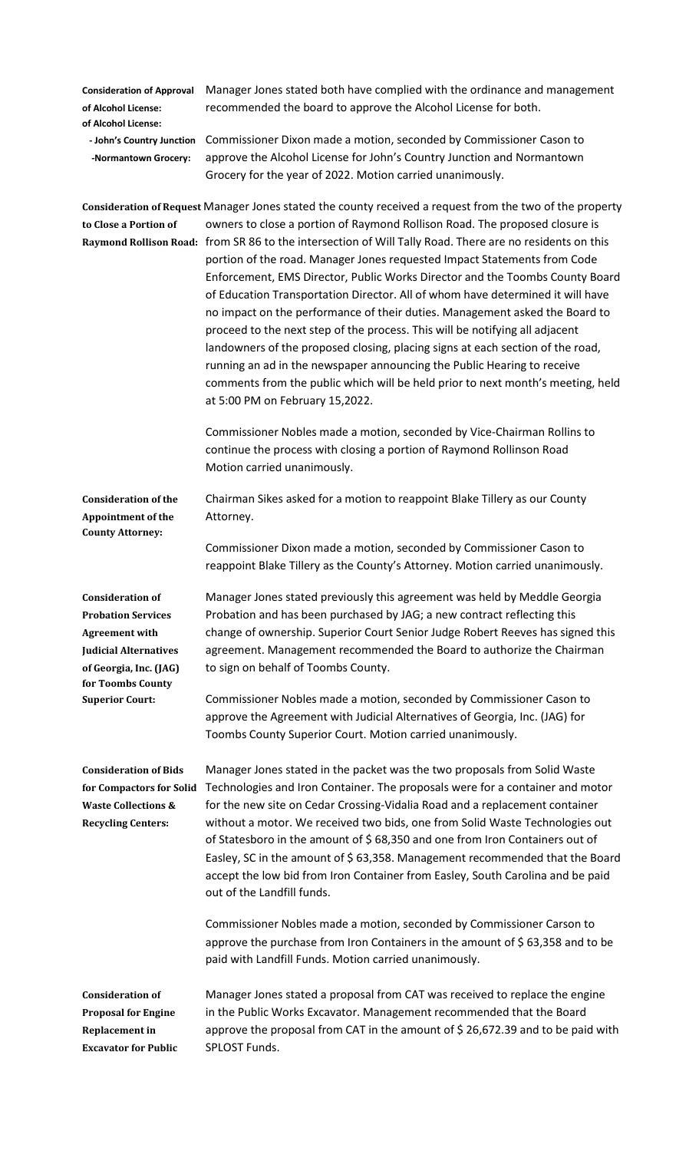**of Alcohol License:**

**Consideration of Approval** Manager Jones stated both have complied with the ordinance and management **of Alcohol License:** recommended the board to approve the Alcohol License for both.

 **- John's Country Junction** Commissioner Dixon made a motion, seconded by Commissioner Cason to **-Normantown Grocery:** approve the Alcohol License for John's Country Junction and Normantown Grocery for the year of 2022. Motion carried unanimously.

**Consideration of Request** Manager Jones stated the county received a request from the two of the property **to Close a Portion of** owners to close a portion of Raymond Rollison Road. The proposed closure is **Raymond Rollison Road:** from SR 86 to the intersection of Will Tally Road. There are no residents on this portion of the road. Manager Jones requested Impact Statements from Code Enforcement, EMS Director, Public Works Director and the Toombs County Board of Education Transportation Director. All of whom have determined it will have no impact on the performance of their duties. Management asked the Board to proceed to the next step of the process. This will be notifying all adjacent landowners of the proposed closing, placing signs at each section of the road, running an ad in the newspaper announcing the Public Hearing to receive comments from the public which will be held prior to next month's meeting, held at 5:00 PM on February 15,2022.

> Commissioner Nobles made a motion, seconded by Vice-Chairman Rollins to continue the process with closing a portion of Raymond Rollinson Road Motion carried unanimously.

**Appointment of the** Attorney. **County Attorney:**

**for Toombs County** 

**Consideration of the** Chairman Sikes asked for a motion to reappoint Blake Tillery as our County

Commissioner Dixon made a motion, seconded by Commissioner Cason to reappoint Blake Tillery as the County's Attorney. Motion carried unanimously.

**Consideration of** Manager Jones stated previously this agreement was held by Meddle Georgia **Probation Services** Probation and has been purchased by JAG; a new contract reflecting this **Agreement with** change of ownership. Superior Court Senior Judge Robert Reeves has signed this **Judicial Alternatives** agreement. Management recommended the Board to authorize the Chairman **of Georgia, Inc. (JAG)** to sign on behalf of Toombs County.

**Superior Court:** Commissioner Nobles made a motion, seconded by Commissioner Cason to approve the Agreement with Judicial Alternatives of Georgia, Inc. (JAG) for Toombs County Superior Court. Motion carried unanimously.

**Consideration of Bids** Manager Jones stated in the packet was the two proposals from Solid Waste **for Compactors for Solid** Technologies and Iron Container. The proposals were for a container and motor **Waste Collections &** for the new site on Cedar Crossing-Vidalia Road and a replacement container **Recycling Centers:** without a motor. We received two bids, one from Solid Waste Technologies out of Statesboro in the amount of \$68,350 and one from Iron Containers out of Easley, SC in the amount of \$ 63,358. Management recommended that the Board accept the low bid from Iron Container from Easley, South Carolina and be paid out of the Landfill funds.

> Commissioner Nobles made a motion, seconded by Commissioner Carson to approve the purchase from Iron Containers in the amount of  $\frac{2}{5}$  63,358 and to be paid with Landfill Funds. Motion carried unanimously.

**Consideration of** Manager Jones stated a proposal from CAT was received to replace the engine **Proposal for Engine** in the Public Works Excavator. Management recommended that the Board **Replacement in** approve the proposal from CAT in the amount of \$ 26,672.39 and to be paid with **Excavator for Public** SPLOST Funds.